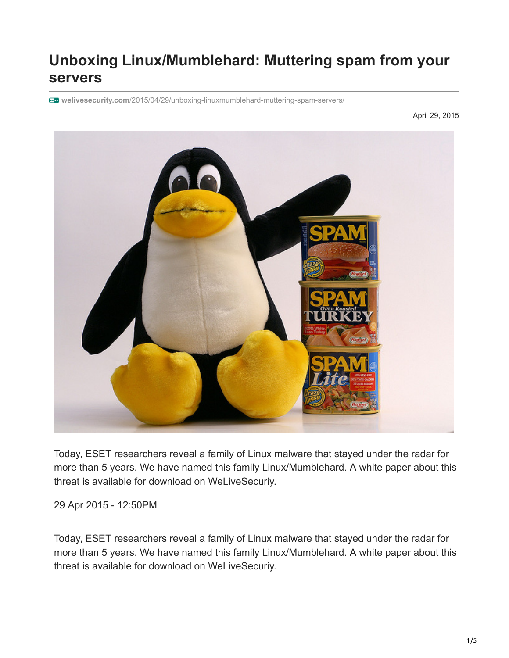# **Unboxing Linux/Mumblehard: Muttering spam from your servers**

**welivesecurity.com**[/2015/04/29/unboxing-linuxmumblehard-muttering-spam-servers/](https://www.welivesecurity.com/2015/04/29/unboxing-linuxmumblehard-muttering-spam-servers/)

April 29, 2015



Today, ESET researchers reveal a family of Linux malware that stayed under the radar for more than 5 years. We have named this family Linux/Mumblehard. A white paper about this threat is available for download on WeLiveSecuriy.

29 Apr 2015 - 12:50PM

Today, ESET researchers reveal a family of Linux malware that stayed under the radar for more than 5 years. We have named this family Linux/Mumblehard. A white paper about this threat is available for download on WeLiveSecuriy.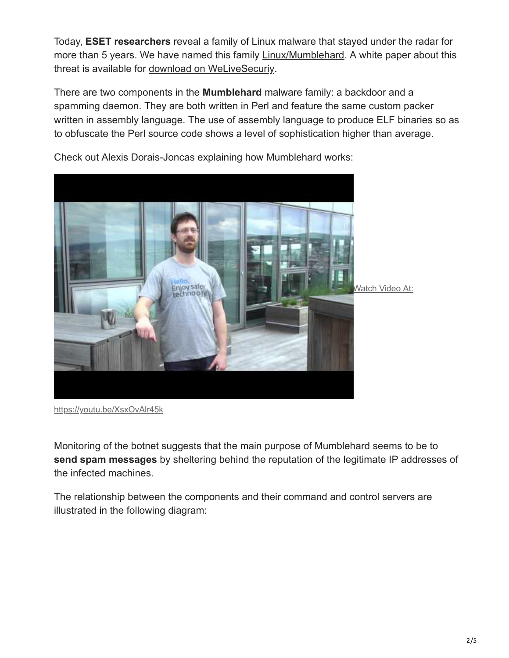Today, **ESET researchers** reveal a family of Linux malware that stayed under the radar for more than 5 years. We have named this family [Linux/Mumblehard](http://www.virusradar.com/en/Linux_Mumblehard/detail). A white paper about this threat is available for [download on WeLiveSecuriy](https://www.welivesecurity.com/papers/white-papers/).

There are two components in the **Mumblehard** malware family: a backdoor and a spamming daemon. They are both written in Perl and feature the same custom packer written in assembly language. The use of assembly language to produce ELF binaries so as to obfuscate the Perl source code shows a level of sophistication higher than average.



Check out Alexis Dorais-Joncas explaining how Mumblehard works:

Monitoring of the botnet suggests that the main purpose of Mumblehard seems to be to **send spam messages** by sheltering behind the reputation of the legitimate IP addresses of the infected machines.

The relationship between the components and their command and control servers are illustrated in the following diagram:

<https://youtu.be/XsxOvAlr45k>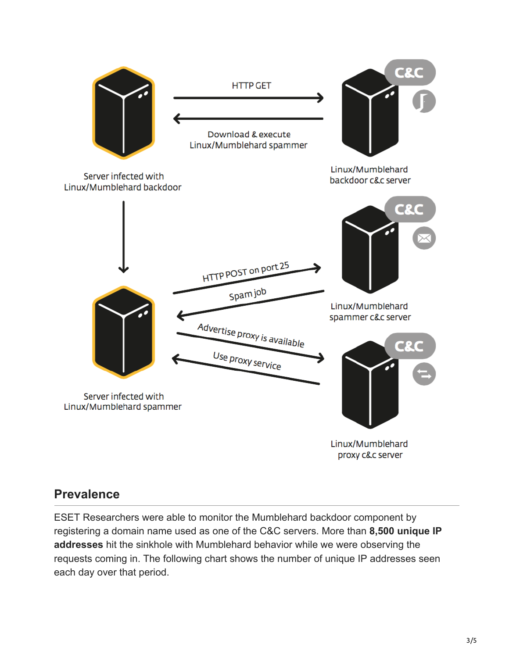

#### **Prevalence**

ESET Researchers were able to monitor the Mumblehard backdoor component by registering a domain name used as one of the C&C servers. More than **8,500 unique IP addresses** hit the sinkhole with Mumblehard behavior while we were observing the requests coming in. The following chart shows the number of unique IP addresses seen each day over that period.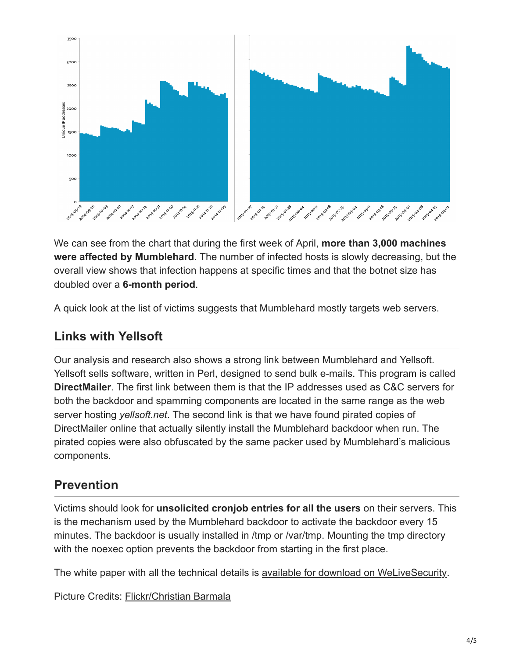

We can see from the chart that during the first week of April, **more than 3,000 machines were affected by Mumblehard**. The number of infected hosts is slowly decreasing, but the overall view shows that infection happens at specific times and that the botnet size has doubled over a **6-month period**.

A quick look at the list of victims suggests that Mumblehard mostly targets web servers.

### **Links with Yellsoft**

Our analysis and research also shows a strong link between Mumblehard and Yellsoft. Yellsoft sells software, written in Perl, designed to send bulk e-mails. This program is called **DirectMailer**. The first link between them is that the IP addresses used as C&C servers for both the backdoor and spamming components are located in the same range as the web server hosting *yellsoft.net*. The second link is that we have found pirated copies of DirectMailer online that actually silently install the Mumblehard backdoor when run. The pirated copies were also obfuscated by the same packer used by Mumblehard's malicious components.

## **Prevention**

Victims should look for **unsolicited cronjob entries for all the users** on their servers. This is the mechanism used by the Mumblehard backdoor to activate the backdoor every 15 minutes. The backdoor is usually installed in /tmp or /var/tmp. Mounting the tmp directory with the noexec option prevents the backdoor from starting in the first place.

The white paper with all the technical details is [available for download on WeLiveSecurity.](https://www.welivesecurity.com/wp-content/uploads/2015/04/mumblehard.pdf)

Picture Credits: [Flickr/Christian Barmala](https://www.flickr.com/photos/barmala/2561602478/in/photostream/)